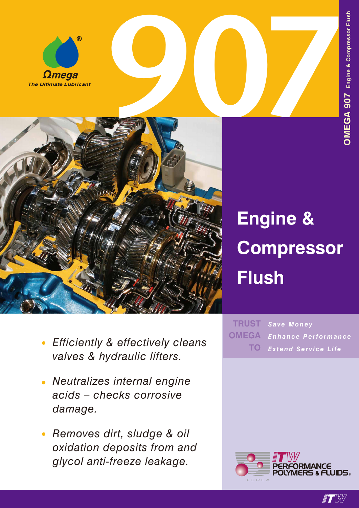



## **Engine & Compressor Flush**

- *• Efficiently & effectively cleans valves & hydraulic lifters.*
- *• Neutralizes internal engine acids – checks corrosive damage.*
- *• Removes dirt, sludge & oil oxidation deposits from and glycol anti-freeze leakage.*

*Save Money Enhance Performance Extend Service Life* **TRUST OMEGA TO**



**IT W**